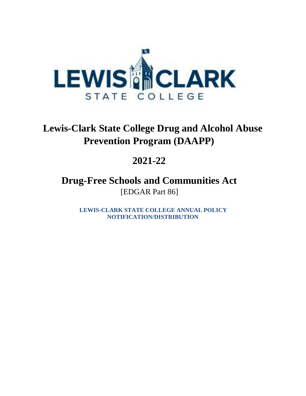

# **Lewis-Clark State College Drug and Alcohol Abuse Prevention Program (DAAPP)**

# **2021-22**

**Drug-Free Schools and Communities Act** [EDGAR Part 86]

> **LEWIS-CLARK STATE COLLEGE ANNUAL POLICY NOTIFICATION/DISTRIBUTION**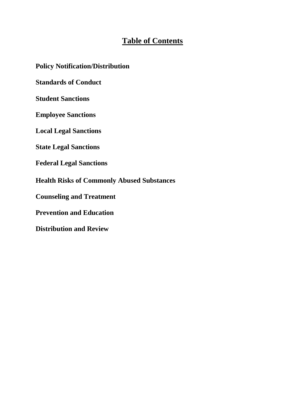## **Table of Contents**

**Policy Notification/Distribution**

**Standards of Conduct**

**Student Sanctions**

**Employee Sanctions**

**Local Legal Sanctions**

**State Legal Sanctions**

**Federal Legal Sanctions**

**Health Risks of Commonly Abused Substances**

**Counseling and Treatment**

**Prevention and Education**

**Distribution and Review**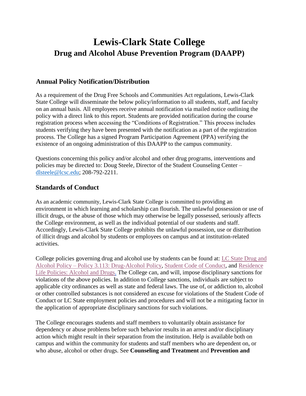# **Lewis-Clark State College Drug and Alcohol Abuse Prevention Program (DAAPP)**

### **Annual Policy Notification/Distribution**

As a requirement of the Drug Free Schools and Communities Act regulations, Lewis-Clark State College will disseminate the below policy/information to all students, staff, and faculty on an annual basis. All employees receive annual notification via mailed notice outlining the policy with a direct link to this report. Students are provided notification during the course registration process when accessing the "Conditions of Registration." This process includes students verifying they have been presented with the notification as a part of the registration process. The College has a signed Program Participation Agreement (PPA) verifying the existence of an ongoing administration of this DAAPP to the campus community.

Questions concerning this policy and/or alcohol and other drug programs, interventions and policies may be directed to: Doug Steele, Director of the Student Counseling Center – [dlsteele@lcsc.edu;](mailto:dlsteele@lcsc.edu) 208-792-2211.

#### **Standards of Conduct**

As an academic community, Lewis-Clark State College is committed to providing an environment in which learning and scholarship can flourish. The unlawful possession or use of illicit drugs, or the abuse of those which may otherwise be legally possessed, seriously affects the College environment, as well as the individual potential of our students and staff. Accordingly, Lewis-Clark State College prohibits the unlawful possession, use or distribution of illicit drugs and alcohol by students or employees on campus and at institution-related activities.

College policies governing drug and alcohol use by students can be found at: [LC State Drug and](https://www.lcsc.edu/media/5182/3113-drug-alcohol.pdf)  Alcohol Policy – [Policy 3.113: Drug-Alcohol Policy,](https://www.lcsc.edu/media/5182/3113-drug-alcohol.pdf) [Student Code of Conduct,](https://www.lcsc.edu/student-affairs/student-code-of-conduct) and [Residence](https://www.lcsc.edu/residence-life/faqs-and-residence-hall-policies/residence-hall-policies)  [Life Policies: Alcohol and Drugs.](https://www.lcsc.edu/residence-life/faqs-and-residence-hall-policies/residence-hall-policies) The College can, and will, impose disciplinary sanctions for violations of the above policies. In addition to College sanctions, individuals are subject to applicable city ordinances as well as state and federal laws. The use of, or addiction to, alcohol or other controlled substances is not considered an excuse for violations of the Student Code of Conduct or LC State employment policies and procedures and will not be a mitigating factor in the application of appropriate disciplinary sanctions for such violations.

The College encourages students and staff members to voluntarily obtain assistance for dependency or abuse problems before such behavior results in an arrest and/or disciplinary action which might result in their separation from the institution. Help is available both on campus and within the community for students and staff members who are dependent on, or who abuse, alcohol or other drugs. See **Counseling and Treatment** and **Prevention and**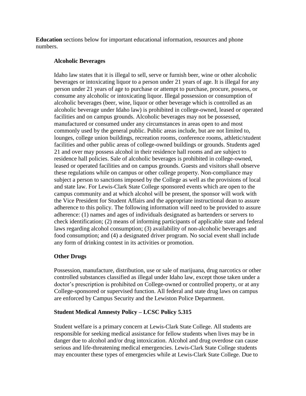**Education** sections below for important educational information, resources and phone numbers.

#### **Alcoholic Beverages**

Idaho law states that it is illegal to sell, serve or furnish beer, wine or other alcoholic beverages or intoxicating liquor to a person under 21 years of age. It is illegal for any person under 21 years of age to purchase or attempt to purchase, procure, possess, or consume any alcoholic or intoxicating liquor. Illegal possession or consumption of alcoholic beverages (beer, wine, liquor or other beverage which is controlled as an alcoholic beverage under Idaho law) is prohibited in college-owned, leased or operated facilities and on campus grounds. Alcoholic beverages may not be possessed, manufactured or consumed under any circumstances in areas open to and most commonly used by the general public. Public areas include, but are not limited to, lounges, college union buildings, recreation rooms, conference rooms, athletic/student facilities and other public areas of college-owned buildings or grounds. Students aged 21 and over may possess alcohol in their residence hall rooms and are subject to residence hall policies. Sale of alcoholic beverages is prohibited in college-owned, leased or operated facilities and on campus grounds. Guests and visitors shall observe these regulations while on campus or other college property. Non-compliance may subject a person to sanctions imposed by the College as well as the provisions of local and state law. For Lewis-Clark State College sponsored events which are open to the campus community and at which alcohol will be present, the sponsor will work with the Vice President for Student Affairs and the appropriate instructional dean to assure adherence to this policy. The following information will need to be provided to assure adherence: (1) names and ages of individuals designated as bartenders or servers to check identification; (2) means of informing participants of applicable state and federal laws regarding alcohol consumption; (3) availability of non-alcoholic beverages and food consumption; and (4) a designated driver program. No social event shall include any form of drinking contest in its activities or promotion.

#### **Other Drugs**

Possession, manufacture, distribution, use or sale of marijuana, drug narcotics or other controlled substances classified as illegal under Idaho law, except those taken under a doctor's prescription is prohibited on College-owned or controlled property, or at any College-sponsored or supervised function. All federal and state drug laws on campus are enforced by Campus Security and the Lewiston Police Department.

#### **Student Medical Amnesty Policy – LCSC Policy 5.315**

Student welfare is a primary concern at Lewis-Clark State College. All students are responsible for seeking medical assistance for fellow students when lives may be in danger due to alcohol and/or drug intoxication. Alcohol and drug overdose can cause serious and life-threatening medical emergencies. Lewis-Clark State College students may encounter these types of emergencies while at Lewis-Clark State College. Due to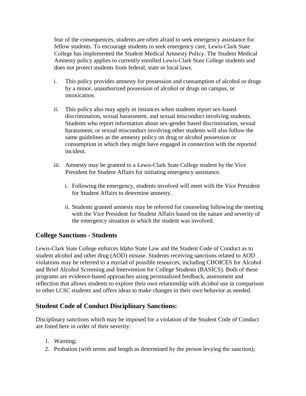fear of the consequences, students are often afraid to seek emergency assistance for fellow students. To encourage students to seek emergency care, Lewis-Clark State College has implemented the Student Medical Amnesty Policy. The Student Medical Amnesty policy applies to currently enrolled Lewis-Clark State College students and does not protect students from federal, state or local laws.

- i. This policy provides amnesty for possession and consumption of alcohol or drugs by a minor, unauthorized possession of alcohol or drugs on campus, or intoxication.
- ii. This policy also may apply in instances when students report sex-based discrimination, sexual harassment, and sexual misconduct involving students. Students who report information about sex-gender based discrimination, sexual harassment, or sexual misconduct involving other students will also follow the same guidelines as the amnesty policy on drug or alcohol possession or consumption in which they might have engaged in connection with the reported incident.
- iii. Amnesty may be granted to a Lewis-Clark State College student by the Vice President for Student Affairs for initiating emergency assistance.
	- i. Following the emergency, students involved will meet with the Vice President for Student Affairs to determine amnesty.
	- ii. Students granted amnesty may be referred for counseling following the meeting with the Vice President for Student Affairs based on the nature and severity of the emergency situation in which the student was involved.

#### **College Sanctions - Students**

Lewis-Clark State College enforces Idaho State Law and the Student Code of Conduct as to student alcohol and other drug (AOD) misuse. Students receiving sanctions related to AOD violations may be referred to a myriad of possible resources, including CHOICES for Alcohol and Brief Alcohol Screening and Intervention for College Students (BASICS). Both of these programs are evidence-based approaches using personalized feedback, assessment and reflection that allows students to explore their own relationship with alcohol use in comparison to other LCSC students and offers ideas to make changes in their own behavior as needed.

## **Student Code of Conduct Disciplinary Sanctions:**

Disciplinary sanctions which may be imposed for a violation of the Student Code of Conduct are listed here in order of their severity:

- 1. Warning;
- 2. Probation (with terms and length as determined by the person levying the sanction);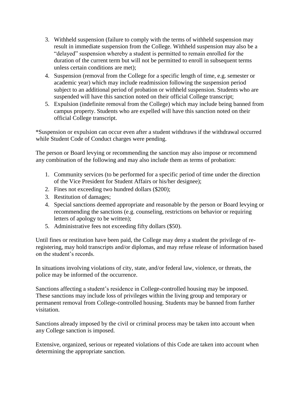- 3. Withheld suspension (failure to comply with the terms of withheld suspension may result in immediate suspension from the College. Withheld suspension may also be a "delayed" suspension whereby a student is permitted to remain enrolled for the duration of the current term but will not be permitted to enroll in subsequent terms unless certain conditions are met);
- 4. Suspension (removal from the College for a specific length of time, e.g. semester or academic year) which may include readmission following the suspension period subject to an additional period of probation or withheld suspension. Students who are suspended will have this sanction noted on their official College transcript;
- 5. Expulsion (indefinite removal from the College) which may include being banned from campus property. Students who are expelled will have this sanction noted on their official College transcript.

\*Suspension or expulsion can occur even after a student withdraws if the withdrawal occurred while Student Code of Conduct charges were pending.

The person or Board levying or recommending the sanction may also impose or recommend any combination of the following and may also include them as terms of probation:

- 1. Community services (to be performed for a specific period of time under the direction of the Vice President for Student Affairs or his/her designee);
- 2. Fines not exceeding two hundred dollars (\$200);
- 3. Restitution of damages;
- 4. Special sanctions deemed appropriate and reasonable by the person or Board levying or recommending the sanctions (e.g. counseling, restrictions on behavior or requiring letters of apology to be written);
- 5. Administrative fees not exceeding fifty dollars (\$50).

Until fines or restitution have been paid, the College may deny a student the privilege of reregistering, may hold transcripts and/or diplomas, and may refuse release of information based on the student's records.

In situations involving violations of city, state, and/or federal law, violence, or threats, the police may be informed of the occurrence.

Sanctions affecting a student's residence in College-controlled housing may be imposed. These sanctions may include loss of privileges within the living group and temporary or permanent removal from College-controlled housing. Students may be banned from further visitation.

Sanctions already imposed by the civil or criminal process may be taken into account when any College sanction is imposed.

Extensive, organized, serious or repeated violations of this Code are taken into account when determining the appropriate sanction.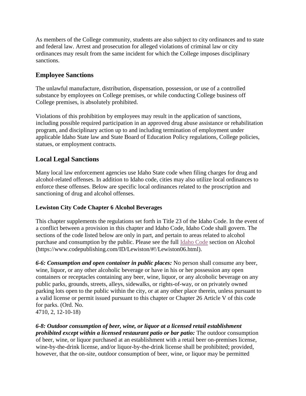As members of the College community, students are also subject to city ordinances and to state and federal law. Arrest and prosecution for alleged violations of criminal law or city ordinances may result from the same incident for which the College imposes disciplinary sanctions.

### **Employee Sanctions**

The unlawful manufacture, distribution, dispensation, possession, or use of a controlled substance by employees on College premises, or while conducting College business off College premises, is absolutely prohibited.

Violations of this prohibition by employees may result in the application of sanctions, including possible required participation in an approved drug abuse assistance or rehabilitation program, and disciplinary action up to and including termination of employment under applicable Idaho State law and State Board of Education Policy regulations, College policies, statues, or employment contracts.

### **Local Legal Sanctions**

Many local law enforcement agencies use Idaho State code when filing charges for drug and alcohol-related offenses. In addition to Idaho code, cities may also utilize local ordinances to enforce these offenses. Below are specific local ordinances related to the proscription and sanctioning of drug and alcohol offenses.

#### **Lewiston City Code Chapter 6 Alcohol Beverages**

This chapter supplements the regulations set forth in Title 23 of the Idaho Code. In the event of a conflict between a provision in this chapter and Idaho Code, Idaho Code shall govern. The sections of the code listed below are only in part, and pertain to areas related to alcohol purchase and consumption by the public. Please see the full [Idaho Code](https://www.codepublishing.com/ID/Lewiston/#!/Lewiston06.html) section on Alcohol (https://www.codepublishing.com/ID/Lewiston/#!/Lewiston06.html).

*6-6: Consumption and open container in public places:* No person shall consume any beer, wine, liquor, or any other alcoholic beverage or have in his or her possession any open containers or receptacles containing any beer, wine, liquor, or any alcoholic beverage on any public parks, grounds, streets, alleys, sidewalks, or rights-of-way, or on privately owned parking lots open to the public within the city, or at any other place therein, unless pursuant to a valid license or permit issued pursuant to this chapter or Chapter 26 Article V of this code for parks. (Ord. No. 4710, 2, 12-10-18)

*6-8: Outdoor consumption of beer, wine, or liquor at a licensed retail establishment prohibited except within a licensed restaurant patio or bar patio:* The outdoor consumption of beer, wine, or liquor purchased at an establishment with a retail beer on-premises license, wine-by-the-drink license, and/or liquor-by-the-drink license shall be prohibited; provided, however, that the on-site, outdoor consumption of beer, wine, or liquor may be permitted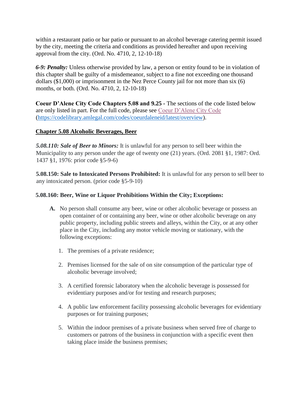within a restaurant patio or bar patio or pursuant to an alcohol beverage catering permit issued by the city, meeting the criteria and conditions as provided hereafter and upon receiving approval from the city. (Ord. No. 4710, 2, 12-10-18)

*6-9: Penalty:* Unless otherwise provided by law, a person or entity found to be in violation of this chapter shall be guilty of a misdemeanor, subject to a fine not exceeding one thousand dollars (\$1,000) or imprisonment in the Nez Perce County jail for not more than six (6) months, or both. (Ord. No. 4710, 2, 12-10-18)

**Coeur D'Alene City Code Chapters 5.08 and 9.25 -** The sections of the code listed below are only listed in part. For the full code, please see [Coeur D'Alene City Code](https://codelibrary.amlegal.com/codes/coeurdaleneid/latest/overview) (https://codelibrary.amlegal.com/codes/coeurdaleneid/latest/overview).

#### **Chapter 5.08 Alcoholic Beverages, Beer**

*5.08.110: Sale of Beer to Minors:* It is unlawful for any person to sell beer within the Municipality to any person under the age of twenty one (21) years. (Ord. 2081 §1, 1987: Ord. 1437 §1, 1976: prior code §5-9-6)

**5.08.150: Sale to Intoxicated Persons Prohibited:** It is unlawful for any person to sell beer to any intoxicated person. (prior code §5-9-10)

#### **5.08.160: Beer, Wine or Liquor Prohibitions Within the City; Exceptions:**

- **A.** No person shall consume any beer, wine or other alcoholic beverage or possess an open container of or containing any beer, wine or other alcoholic beverage on any public property, including public streets and alleys, within the City, or at any other place in the City, including any motor vehicle moving or stationary, with the following exceptions:
	- 1. The premises of a private residence;
	- 2. Premises licensed for the sale of on site consumption of the particular type of alcoholic beverage involved;
	- 3. A certified forensic laboratory when the alcoholic beverage is possessed for evidentiary purposes and/or for testing and research purposes;
	- 4. A public law enforcement facility possessing alcoholic beverages for evidentiary purposes or for training purposes;
	- 5. Within the indoor premises of a private business when served free of charge to customers or patrons of the business in conjunction with a specific event then taking place inside the business premises;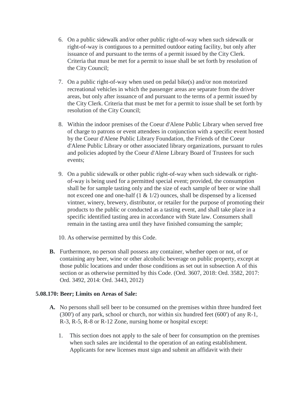- 6. On a public sidewalk and/or other public right-of-way when such sidewalk or right-of-way is contiguous to a permitted outdoor eating facility, but only after issuance of and pursuant to the terms of a permit issued by the City Clerk. Criteria that must be met for a permit to issue shall be set forth by resolution of the City Council;
- 7. On a public right-of-way when used on pedal bike(s) and/or non motorized recreational vehicles in which the passenger areas are separate from the driver areas, but only after issuance of and pursuant to the terms of a permit issued by the City Clerk. Criteria that must be met for a permit to issue shall be set forth by resolution of the City Council;
- 8. Within the indoor premises of the Coeur d'Alene Public Library when served free of charge to patrons or event attendees in conjunction with a specific event hosted by the Coeur d'Alene Public Library Foundation, the Friends of the Coeur d'Alene Public Library or other associated library organizations, pursuant to rules and policies adopted by the Coeur d'Alene Library Board of Trustees for such events;
- 9. On a public sidewalk or other public right-of-way when such sidewalk or rightof-way is being used for a permitted special event; provided, the consumption shall be for sample tasting only and the size of each sample of beer or wine shall not exceed one and one-half (1 & 1/2) ounces, shall be dispensed by a licensed vintner, winery, brewery, distributor, or retailer for the purpose of promoting their products to the public or conducted as a tasting event, and shall take place in a specific identified tasting area in accordance with State law. Consumers shall remain in the tasting area until they have finished consuming the sample;
- 10. As otherwise permitted by this Code.
- **B.** Furthermore, no person shall possess any container, whether open or not, of or containing any beer, wine or other alcoholic beverage on public property, except at those public locations and under those conditions as set out in subsection A of this section or as otherwise permitted by this Code. (Ord. 3607, 2018: Ord. 3582, 2017: Ord. 3492, 2014: Ord. 3443, 2012)

#### **5.08.170: Beer; Limits on Areas of Sale:**

- **A.** No persons shall sell beer to be consumed on the premises within three hundred feet (300') of any park, school or church, nor within six hundred feet (600') of any R-1, R-3, R-5, R-8 or R-12 Zone, nursing home or hospital except:
	- 1. This section does not apply to the sale of beer for consumption on the premises when such sales are incidental to the operation of an eating establishment. Applicants for new licenses must sign and submit an affidavit with their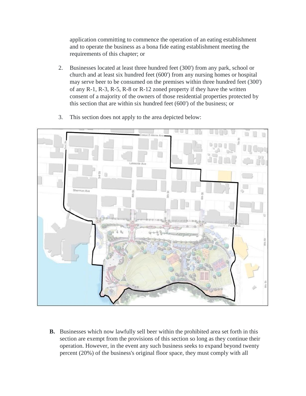application committing to commence the operation of an eating establishment and to operate the business as a bona fide eating establishment meeting the requirements of this chapter; or

2. Businesses located at least three hundred feet (300') from any park, school or church and at least six hundred feet (600') from any nursing homes or hospital may serve beer to be consumed on the premises within three hundred feet (300') of any R-1, R-3, R-5, R-8 or R-12 zoned property if they have the written consent of a majority of the owners of those residential properties protected by this section that are within six hundred feet (600') of the business; or



3. This section does not apply to the area depicted below:

**B.** Businesses which now lawfully sell beer within the prohibited area set forth in this section are exempt from the provisions of this section so long as they continue their operation. However, in the event any such business seeks to expand beyond twenty percent (20%) of the business's original floor space, they must comply with all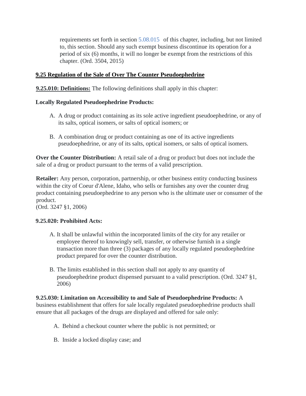requirements set forth in section [5.08.015](https://codelibrary.amlegal.com/codes/coeurdaleneid/latest/coeurdalene_id/0-0-0-1735#JD_5.08.015) of this chapter, including, but not limited to, this section. Should any such exempt business discontinue its operation for a period of six (6) months, it will no longer be exempt from the restrictions of this chapter. (Ord. 3504, 2015)

#### **9.25 Regulation of the Sale of Over The Counter Pseudoephedrine**

**9.25.010: Definitions:** The following definitions shall apply in this chapter:

#### **Locally Regulated Pseudoephedrine Products:**

- A. A drug or product containing as its sole active ingredient pseudoephedrine, or any of its salts, optical isomers, or salts of optical isomers; or
- B. A combination drug or product containing as one of its active ingredients pseudoephedrine, or any of its salts, optical isomers, or salts of optical isomers.

**Over the Counter Distribution:** A retail sale of a drug or product but does not include the sale of a drug or product pursuant to the terms of a valid prescription.

**Retailer:** Any person, corporation, partnership, or other business entity conducting business within the city of Coeur d'Alene, Idaho, who sells or furnishes any over the counter drug product containing pseudoephedrine to any person who is the ultimate user or consumer of the product.

(Ord. 3247 §1, 2006)

#### **9.25.020: Prohibited Acts:**

- A. It shall be unlawful within the incorporated limits of the city for any retailer or employee thereof to knowingly sell, transfer, or otherwise furnish in a single transaction more than three (3) packages of any locally regulated pseudoephedrine product prepared for over the counter distribution.
- B. The limits established in this section shall not apply to any quantity of pseudoephedrine product dispensed pursuant to a valid prescription. (Ord. 3247 §1, 2006)

## **9.25.030: Limitation on Accessibility to and Sale of Pseudoephedrine Products:** A

business establishment that offers for sale locally regulated pseudoephedrine products shall ensure that all packages of the drugs are displayed and offered for sale only:

- A. Behind a checkout counter where the public is not permitted; or
- B. Inside a locked display case; and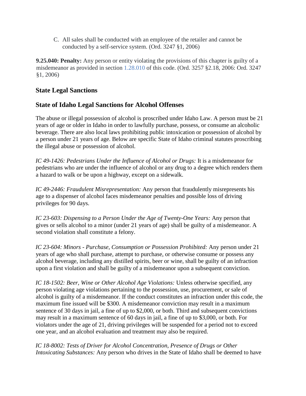C. All sales shall be conducted with an employee of the retailer and cannot be conducted by a self-service system. (Ord. 3247 §1, 2006)

**9.25.040: Penalty:** Any person or entity violating the provisions of this chapter is guilty of a misdemeanor as provided in section [1.28.010](https://codelibrary.amlegal.com/codes/coeurdaleneid/latest/coeurdalene_id/0-0-0-263#JD_1.28.010) of this code. (Ord. 3257 §2.18, 2006: Ord. 3247 §1, 2006)

## **State Legal Sanctions**

## **State of Idaho Legal Sanctions for Alcohol Offenses**

The abuse or illegal possession of alcohol is proscribed under Idaho Law. A person must be 21 years of age or older in Idaho in order to lawfully purchase, possess, or consume an alcoholic beverage. There are also local laws prohibiting public intoxication or possession of alcohol by a person under 21 years of age. Below are specific State of Idaho criminal statutes proscribing the illegal abuse or possession of alcohol.

*IC 49-1426: Pedestrians Under the Influence of Alcohol or Drugs:* It is a misdemeanor for pedestrians who are under the influence of alcohol or any drug to a degree which renders them a hazard to walk or be upon a highway, except on a sidewalk.

*IC 49-2446: Fraudulent Misrepresentation:* Any person that fraudulently misrepresents his age to a dispenser of alcohol faces misdemeanor penalties and possible loss of driving privileges for 90 days.

*IC 23-603: Dispensing to a Person Under the Age of Twenty-One Years:* Any person that gives or sells alcohol to a minor (under 21 years of age) shall be guilty of a misdemeanor. A second violation shall constitute a felony.

*IC 23-604: Minors - Purchase, Consumption or Possession Prohibited:* Any person under 21 years of age who shall purchase, attempt to purchase, or otherwise consume or possess any alcohol beverage, including any distilled spirits, beer or wine, shall be guilty of an infraction upon a first violation and shall be guilty of a misdemeanor upon a subsequent conviction.

*IC 18-1502: Beer, Wine or Other Alcohol Age Violations:* Unless otherwise specified, any person violating age violations pertaining to the possession, use, procurement, or sale of alcohol is guilty of a misdemeanor. If the conduct constitutes an infraction under this code, the maximum fine issued will be \$300. A misdemeanor conviction may result in a maximum sentence of 30 days in jail, a fine of up to \$2,000, or both. Third and subsequent convictions may result in a maximum sentence of 60 days in jail, a fine of up to \$3,000, or both. For violators under the age of 21, driving privileges will be suspended for a period not to exceed one year, and an alcohol evaluation and treatment may also be required.

*IC 18-8002: Tests of Driver for Alcohol Concentration, Presence of Drugs or Other Intoxicating Substances:* Any person who drives in the State of Idaho shall be deemed to have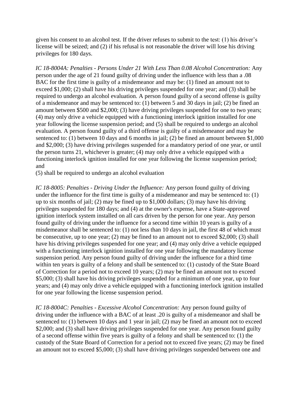given his consent to an alcohol test. If the driver refuses to submit to the test: (1) his driver's license will be seized; and (2) if his refusal is not reasonable the driver will lose his driving privileges for 180 days.

*IC 18-8004A: Penalties - Persons Under 21 With Less Than 0.08 Alcohol Concentration:* Any person under the age of 21 found guilty of driving under the influence with less than a .08 BAC for the first time is guilty of a misdemeanor and may be: (1) fined an amount not to exceed \$1,000; (2) shall have his driving privileges suspended for one year; and (3) shall be required to undergo an alcohol evaluation. A person found guilty of a second offense is guilty of a misdemeanor and may be sentenced to:  $(1)$  between 5 and 30 days in jail; (2) be fined an amount between \$500 and \$2,000; (3) have driving privileges suspended for one to two years; (4) may only drive a vehicle equipped with a functioning interlock ignition installed for one year following the license suspension period; and (5) shall be required to undergo an alcohol evaluation. A person found guilty of a third offense is guilty of a misdemeanor and may be sentenced to: (1) between 10 days and 6 months in jail; (2) be fined an amount between \$1,000 and \$2,000; (3) have driving privileges suspended for a mandatory period of one year, or until the person turns 21, whichever is greater; (4) may only drive a vehicle equipped with a functioning interlock ignition installed for one year following the license suspension period; and

(5) shall be required to undergo an alcohol evaluation

*IC 18-8005: Penalties - Driving Under the Influence:* Any person found guilty of driving under the influence for the first time is guilty of a misdemeanor and may be sentenced to: (1) up to six months of jail; (2) may be fined up to \$1,000 dollars; (3) may have his driving privileges suspended for 180 days; and (4) at the owner's expense, have a State-approved ignition interlock system installed on all cars driven by the person for one year. Any person found guilty of driving under the influence for a second time within 10 years is guilty of a misdemeanor shall be sentenced to: (1) not less than 10 days in jail, the first 48 of which must be consecutive, up to one year; (2) may be fined to an amount not to exceed \$2,000; (3) shall have his driving privileges suspended for one year; and (4) may only drive a vehicle equipped with a functioning interlock ignition installed for one year following the mandatory license suspension period. Any person found guilty of driving under the influence for a third time within ten years is guilty of a felony and shall be sentenced to: (1) custody of the State Board of Correction for a period not to exceed 10 years; (2) may be fined an amount not to exceed \$5,000; (3) shall have his driving privileges suspended for a minimum of one year, up to four years; and (4) may only drive a vehicle equipped with a functioning interlock ignition installed for one year following the license suspension period.

*IC 18-8004C: Penalties - Excessive Alcohol Concentration:* Any person found guilty of driving under the influence with a BAC of at least .20 is guilty of a misdemeanor and shall be sentenced to: (1) between 10 days and 1 year in jail; (2) may be fined an amount not to exceed \$2,000; and (3) shall have driving privileges suspended for one year. Any person found guilty of a second offense within five years is guilty of a felony and shall be sentenced to: (1) the custody of the State Board of Correction for a period not to exceed five years; (2) may be fined an amount not to exceed \$5,000; (3) shall have driving privileges suspended between one and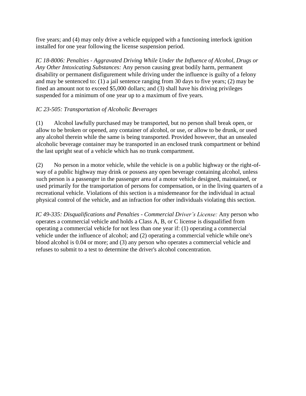five years; and (4) may only drive a vehicle equipped with a functioning interlock ignition installed for one year following the license suspension period.

*IC 18-8006: Penalties - Aggravated Driving While Under the Influence of Alcohol, Drugs or Any Other Intoxicating Substances:* Any person causing great bodily harm, permanent disability or permanent disfigurement while driving under the influence is guilty of a felony and may be sentenced to: (1) a jail sentence ranging from 30 days to five years; (2) may be fined an amount not to exceed \$5,000 dollars; and (3) shall have his driving privileges suspended for a minimum of one year up to a maximum of five years.

#### *IC 23-505: Transportation of Alcoholic Beverages*

(1) Alcohol lawfully purchased may be transported, but no person shall break open, or allow to be broken or opened, any container of alcohol, or use, or allow to be drunk, or used any alcohol therein while the same is being transported. Provided however, that an unsealed alcoholic beverage container may be transported in an enclosed trunk compartment or behind the last upright seat of a vehicle which has no trunk compartment.

(2) No person in a motor vehicle, while the vehicle is on a public highway or the right-ofway of a public highway may drink or possess any open beverage containing alcohol, unless such person is a passenger in the passenger area of a motor vehicle designed, maintained, or used primarily for the transportation of persons for compensation, or in the living quarters of a recreational vehicle. Violations of this section is a misdemeanor for the individual in actual physical control of the vehicle, and an infraction for other individuals violating this section.

*IC 49-335: Disqualifications and Penalties - Commercial Driver's License:* Any person who operates a commercial vehicle and holds a Class A, B, or C license is disqualified from operating a commercial vehicle for not less than one year if: (1) operating a commercial vehicle under the influence of alcohol; and (2) operating a commercial vehicle while one's blood alcohol is 0.04 or more; and (3) any person who operates a commercial vehicle and refuses to submit to a test to determine the driver's alcohol concentration.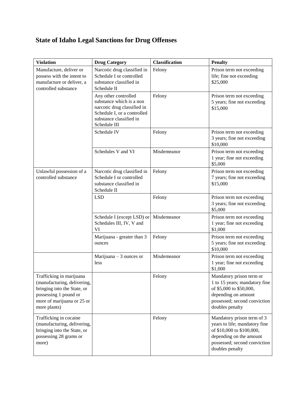## **State of Idaho Legal Sanctions for Drug Offenses**

| <b>Violation</b>                                                                                                                                              | <b>Drug Category</b>                                                                                                                                      | <b>Classification</b> | <b>Penalty</b>                                                                                                                                                         |
|---------------------------------------------------------------------------------------------------------------------------------------------------------------|-----------------------------------------------------------------------------------------------------------------------------------------------------------|-----------------------|------------------------------------------------------------------------------------------------------------------------------------------------------------------------|
| Manufacture, deliver or<br>possess with the intent to<br>manufacture or deliver, a<br>controlled substance                                                    | Narcotic drug classified in<br>Schedule I or controlled<br>substance classified in<br>Schedule II                                                         | Felony                | Prison term not exceeding<br>life; fine not exceeding<br>\$25,000                                                                                                      |
|                                                                                                                                                               | Any other controlled<br>substance which is a non<br>narcotic drug classified in<br>Schedule I, or a controlled<br>substance classified in<br>Schedule III | Felony                | Prison term not exceeding<br>5 years; fine not exceeding<br>\$15,000                                                                                                   |
|                                                                                                                                                               | Schedule IV                                                                                                                                               | Felony                | Prison term not exceeding<br>3 years; fine not exceeding<br>\$10,000                                                                                                   |
|                                                                                                                                                               | Schedules V and VI                                                                                                                                        | Misdemeanor           | Prison term not exceeding<br>1 year; fine not exceeding<br>\$5,000                                                                                                     |
| Unlawful possession of a<br>controlled substance                                                                                                              | Narcotic drug classified in<br>Schedule I or controlled<br>substance classified in<br>Schedule II                                                         | Felony                | Prison term not exceeding<br>7 years; fine not exceeding<br>\$15,000                                                                                                   |
|                                                                                                                                                               | <b>LSD</b>                                                                                                                                                | Felony                | Prison term not exceeding<br>3 years; fine not exceeding<br>\$5,000                                                                                                    |
|                                                                                                                                                               | Schedule I (except LSD) or<br>Schedules III, IV, V and<br>VI                                                                                              | Misdemeanor           | Prison term not exceeding<br>1 year; fine not exceeding<br>\$1,000                                                                                                     |
|                                                                                                                                                               | Marijuana - greater than 3<br>ounces                                                                                                                      | Felony                | Prison term not exceeding<br>5 years; fine not exceeding<br>\$10,000                                                                                                   |
|                                                                                                                                                               | Marijuana $-3$ ounces or<br>less                                                                                                                          | Misdemeanor           | Prison term not exceeding<br>1 year; fine not exceeding<br>\$1,000                                                                                                     |
| Trafficking in marijuana<br>(manufacturing, delivering,<br>bringing into the State, or<br>possessing 1 pound or<br>more of marijuana or 25 or<br>more plants) |                                                                                                                                                           | Felony                | Mandatory prison term or<br>1 to 15 years; mandatory fine<br>of \$5,000 to \$50,000,<br>depending on amount<br>possessed; second conviction<br>doubles penalty         |
| Trafficking in cocaine<br>(manufacturing, delivering,<br>bringing into the State, or<br>possessing 28 grams or<br>more)                                       |                                                                                                                                                           | Felony                | Mandatory prison term of 3<br>years to life; mandatory fine<br>of \$10,000 to \$100,000,<br>depending on the amount<br>possessed; second conviction<br>doubles penalty |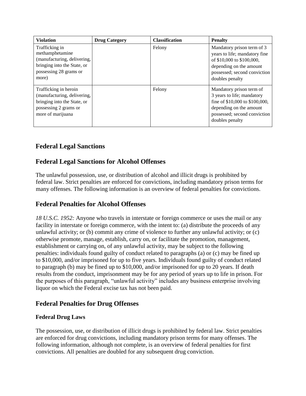| <b>Violation</b>                                                                                                                   | <b>Drug Category</b> | <b>Classification</b> | <b>Penalty</b>                                                                                                                                                         |
|------------------------------------------------------------------------------------------------------------------------------------|----------------------|-----------------------|------------------------------------------------------------------------------------------------------------------------------------------------------------------------|
| Trafficking in<br>methamphetamine<br>(manufacturing, delivering,<br>bringing into the State, or<br>possessing 28 grams or<br>more) |                      | Felony                | Mandatory prison term of 3<br>years to life; mandatory fine<br>of \$10,000 to \$100,000,<br>depending on the amount<br>possessed; second conviction<br>doubles penalty |
| Trafficking in heroin<br>(manufacturing, delivering,<br>bringing into the State, or<br>possessing 2 grams or<br>more of marijuana  |                      | Felony                | Mandatory prison term of<br>3 years to life; mandatory<br>fine of \$10,000 to \$100,000,<br>depending on the amount<br>possessed; second conviction<br>doubles penalty |

## **Federal Legal Sanctions**

## **Federal Legal Sanctions for Alcohol Offenses**

The unlawful possession, use, or distribution of alcohol and illicit drugs is prohibited by federal law. Strict penalties are enforced for convictions, including mandatory prison terms for many offenses. The following information is an overview of federal penalties for convictions.

## **Federal Penalties for Alcohol Offenses**

*18 U.S.C. 1952:* Anyone who travels in interstate or foreign commerce or uses the mail or any facility in interstate or foreign commerce, with the intent to: (a) distribute the proceeds of any unlawful activity; or (b) commit any crime of violence to further any unlawful activity; or (c) otherwise promote, manage, establish, carry on, or facilitate the promotion, management, establishment or carrying on, of any unlawful activity, may be subject to the following penalties: individuals found guilty of conduct related to paragraphs (a) or (c) may be fined up to \$10,000, and/or imprisoned for up to five years. Individuals found guilty of conduct related to paragraph (b) may be fined up to \$10,000, and/or imprisoned for up to 20 years. If death results from the conduct, imprisonment may be for any period of years up to life in prison. For the purposes of this paragraph, "unlawful activity" includes any business enterprise involving liquor on which the Federal excise tax has not been paid.

## **Federal Penalties for Drug Offenses**

#### **Federal Drug Laws**

The possession, use, or distribution of illicit drugs is prohibited by federal law. Strict penalties are enforced for drug convictions, including mandatory prison terms for many offenses. The following information, although not complete, is an overview of federal penalties for first convictions. All penalties are doubled for any subsequent drug conviction.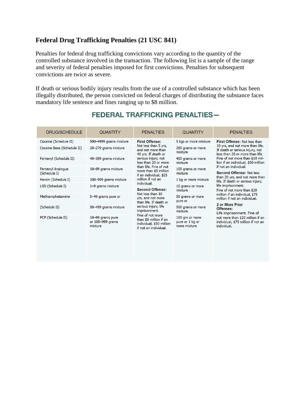## **Federal Drug Trafficking Penalties (21 USC 841)**

Penalties for federal drug trafficking convictions vary according to the quantity of the controlled substance involved in the transaction. The following list is a sample of the range and severity of federal penalties imposed for first convictions. Penalties for subsequent convictions are twice as severe.

If death or serious bodily injury results from the use of a controlled substance which has been illegally distributed, the person convicted on federal charges of distributing the substance faces mandatory life sentence and fines ranging up to \$8 million.

| DRUG/SCHEDULE                                                                                                                                                                                                          | <b>QUANTITY</b>                                                                                                                                                                                                                              | <b>PENALTIES</b>                                                                                                                                                                                                                                                                                                                                                                                                                                                                                   | <b>QUANTITY</b>                                                                                                                                                                                                                                                                                  | <b>PENALTIES</b>                                                                                                                                                                                                                                                                                                                                                                                                                                                                                                                                                                                                                 |
|------------------------------------------------------------------------------------------------------------------------------------------------------------------------------------------------------------------------|----------------------------------------------------------------------------------------------------------------------------------------------------------------------------------------------------------------------------------------------|----------------------------------------------------------------------------------------------------------------------------------------------------------------------------------------------------------------------------------------------------------------------------------------------------------------------------------------------------------------------------------------------------------------------------------------------------------------------------------------------------|--------------------------------------------------------------------------------------------------------------------------------------------------------------------------------------------------------------------------------------------------------------------------------------------------|----------------------------------------------------------------------------------------------------------------------------------------------------------------------------------------------------------------------------------------------------------------------------------------------------------------------------------------------------------------------------------------------------------------------------------------------------------------------------------------------------------------------------------------------------------------------------------------------------------------------------------|
| Cocaine (Schedule II)<br>Cocaine Base (Schedule II)<br>Fentanyl (Schedule II)<br>Fentanyl Analogue<br>(Schedule I)<br>Heroin (Schedule I)<br>LSD (Schedule I)<br>Methamphetamine<br>(Schedule II)<br>PCP (Schedule II) | 500-4999 grams mixture<br>28-279 grams mixture<br>40-399 grams mixture<br>10-99 grams mixture<br>100-999 grams mixture<br>1-9 grams mixture<br>5-49 grams pure or<br>50-499 grams mixture<br>10-99 grams pure<br>or 100-999 grams<br>mixture | <b>First Offense:</b><br>Not less than 5 yrs,<br>and not more than<br>40 yrs. If death or<br>serious injury, not<br>less than 20 or more<br>than life. Fine of not<br>more than \$5 million<br>if an individual, \$25<br>million if not an<br>individual.<br><b>Second Offense:</b><br>Not less than 10<br>yrs, and not more<br>than life. If death or<br>serious injury, life<br>imprisonment.<br>Fine of not more<br>than \$8 million if an<br>individual, \$50 million<br>if not an individual. | 5 kgs or more mixture<br>280 grams or more<br>mixture<br>400 grams or more<br>mixture<br>100 grams or more<br>mixture<br>1 kg or more mixture<br>10 grams or more<br>mixture<br>50 grams or more<br>pure or<br>500 grams or more<br>mixture<br>100 gm or more<br>pure or 1 kg or<br>more mixture | First Offense: Not less than<br>10 yrs, and not more than life.<br>If death or serious injury, not<br>less than 20 or more than life.<br>Fine of not more than \$10 mil-<br>lion if an individual, \$50 million<br>if not an individual.<br><b>Second Offense: Not less</b><br>than 20 yrs, and not more than<br>life. If death or serious injury,<br>life imprisonment.<br>Fine of not more than \$20<br>million if an individual, \$75<br>million if not an individual.<br>2 or More Prior<br>Offenses:<br>Life imprisonment. Fine of<br>not more than \$20 million if an<br>individual, \$75 million if not an<br>individual. |

## **FEDERAL TRAFFICKING PENALTIES-**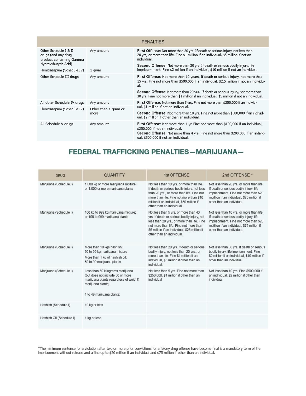| <b>PENALTIES</b>                                                                                 |                      |                                                                                                                                                                                                                                                                                                                                                                       |  |  |
|--------------------------------------------------------------------------------------------------|----------------------|-----------------------------------------------------------------------------------------------------------------------------------------------------------------------------------------------------------------------------------------------------------------------------------------------------------------------------------------------------------------------|--|--|
| Other Schedule I & II<br>drugs (and any drug<br>product containing Gamma<br>Hydroxybutyric Acid) | Any amount           | <b>First Offense:</b> Not more than 20 yrs. If death or serious injury, not less than<br>20 yrs, or more than life. Fine \$1 million if an individual, \$5 million if not an<br>individual.<br>Second Offense: Not more than 30 yrs. If death or serious bodily injury, life<br>imprison- ment. Fine \$2 million if an individual, \$10 million if not an individual. |  |  |
| Flunitrazepam (Schedule IV)                                                                      | 1 gram               |                                                                                                                                                                                                                                                                                                                                                                       |  |  |
| Other Schedule III drugs                                                                         | Any amount           | <b>First Offense:</b> Not more than 10 years. If death or serious injury, not more that<br>15 yrs. Fine not more than \$500,000 if an individual, \$2.5 million if not an individu-<br>al.                                                                                                                                                                            |  |  |
|                                                                                                  |                      | Second Offense: Not more than 20 yrs. If death or serious injury, not more than<br>30 yrs. Fine not more than \$1 million if an individual, \$5 million if not an individual.                                                                                                                                                                                         |  |  |
| All other Schedule IV drugs                                                                      | Any amount           | First Offense: Not more than 5 yrs. Fine not more than \$250,000 if an individ-                                                                                                                                                                                                                                                                                       |  |  |
| Flunitrazepam (Schedule IV)                                                                      | Other than 1 gram or | ual, \$1 million if not an individual.                                                                                                                                                                                                                                                                                                                                |  |  |
|                                                                                                  | more                 | Second Offense: Not more than 10 yrs. Fine not more than \$500,000 if an individ-<br>ual, \$2 million if other than an individual.                                                                                                                                                                                                                                    |  |  |
| All Schedule V drugs                                                                             | Any amount           | First Offense: Not more than 1 yr. Fine not more than \$100,000 if an individual,<br>\$250,000 if not an individual.<br>Second Offense: Not more than 4 yrs. Fine not more than \$200,000 if an individ-<br>ual, \$500,000 if not an individual.                                                                                                                      |  |  |

## FEDERAL TRAFFICKING PENALTIES-MARIJUANA-

| <b>DRUG</b>              | <b>QUANTITY</b>                                                                                                                                                   | 1st OFFENSE                                                                                                                                                                                                                                               | 2nd OFFENSE *                                                                                                                                                                                           |
|--------------------------|-------------------------------------------------------------------------------------------------------------------------------------------------------------------|-----------------------------------------------------------------------------------------------------------------------------------------------------------------------------------------------------------------------------------------------------------|---------------------------------------------------------------------------------------------------------------------------------------------------------------------------------------------------------|
| Marijuana (Schedule I)   | 1,000 kg or more marijuana mixture;<br>or 1,000 or more marijuana plants                                                                                          | Not less than 10 yrs. or more than life.<br>If death or serious bodily injury, not less<br>than 20 yrs., or more than life. Fine not<br>more than life. Fine not more than \$10<br>million if an individual, \$50 million if<br>other than an individual. | Not less than 20 yrs. or more than life.<br>If death or serious bodily injury, life<br>imprisonment. Fine not more than \$20<br>moillion if an individual, \$75 million if<br>other than an individual. |
| Marijuana (Schedule I)   | 100 kg to 999 kg marijuana mixture;<br>or 100 to 999 marijuana plants                                                                                             | Not less than 5 yrs. or more than 40<br>yrs. If death or serious bodily injury, not<br>less than 20 yrs., or more than life. Fine<br>not more than life. Fine not more than<br>\$5 million if an individual, \$25 million if<br>other than an individual. | Not less than 10 yrs. or more than life.<br>If death or serious bodily injury, life<br>imprisonment. Fine not more than \$20<br>moillion if an individual, \$75 million if<br>other than an individual. |
| Marijuana (Schedule I)   | More than 10 kgs hashish:<br>50 to 99 kg marijuana mixture<br>More than 1 kg of hashish oil;<br>50 to 99 marijuana plants                                         | Not less than 20 yrs. If death or serious<br>bodily injury, not less than 20 yrs., or<br>more than life. Fine \$1 million if an<br>individual, \$5 million if other than an<br>individual.                                                                | Not less than 30 yrs. If death or serious<br>bodily injury, life imprisonment. Fine<br>\$2 million if an individual, \$10 million if<br>other than an individual.                                       |
| Marijuana (Schedule I)   | Less than 50 kilograms marijuana<br>(but does not include 50 or more)<br>marijuana plants regardless of weight)<br>marijuana plants;<br>1 to 49 marijuana plants: | Not less than 5 yrs. Fine not more than<br>\$250,000. \$1 million if other than an<br>individual                                                                                                                                                          | Not less than 10 yrs. Fine \$500,000 if<br>an individual, \$2 million if other than<br>individual                                                                                                       |
| Hashish (Schedule I)     | 10 kg or less                                                                                                                                                     |                                                                                                                                                                                                                                                           |                                                                                                                                                                                                         |
| Hashish Oil (Schedule I) | 1 kg or less                                                                                                                                                      |                                                                                                                                                                                                                                                           |                                                                                                                                                                                                         |

\*The minimum sentence for a violation after two or more prior convictions for a felony drug offense have become final is a mandatory term of life<br>imprisonment without release and a fine up to \$20 million if an individual a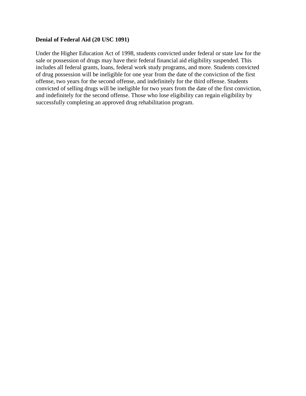#### **Denial of Federal Aid (20 USC 1091)**

Under the Higher Education Act of 1998, students convicted under federal or state law for the sale or possession of drugs may have their federal financial aid eligibility suspended. This includes all federal grants, loans, federal work study programs, and more. Students convicted of drug possession will be ineligible for one year from the date of the conviction of the first offense, two years for the second offense, and indefinitely for the third offense. Students convicted of selling drugs will be ineligible for two years from the date of the first conviction, and indefinitely for the second offense. Those who lose eligibility can regain eligibility by successfully completing an approved drug rehabilitation program.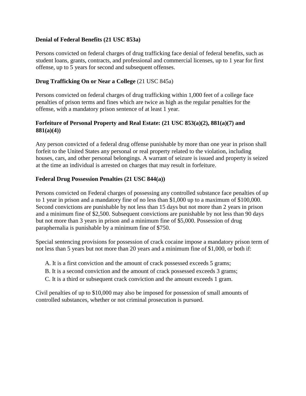#### **Denial of Federal Benefits (21 USC 853a)**

Persons convicted on federal charges of drug trafficking face denial of federal benefits, such as student loans, grants, contracts, and professional and commercial licenses, up to 1 year for first offense, up to 5 years for second and subsequent offenses.

#### **Drug Trafficking On or Near a College** (21 USC 845a)

Persons convicted on federal charges of drug trafficking within 1,000 feet of a college face penalties of prison terms and fines which are twice as high as the regular penalties for the offense, with a mandatory prison sentence of at least 1 year.

#### **Forfeiture of Personal Property and Real Estate: (21 USC 853(a)(2), 881(a)(7) and 881(a)(4))**

Any person convicted of a federal drug offense punishable by more than one year in prison shall forfeit to the United States any personal or real property related to the violation, including houses, cars, and other personal belongings. A warrant of seizure is issued and property is seized at the time an individual is arrested on charges that may result in forfeiture.

#### **Federal Drug Possession Penalties (21 USC 844(a))**

Persons convicted on Federal charges of possessing any controlled substance face penalties of up to 1 year in prison and a mandatory fine of no less than \$1,000 up to a maximum of \$100,000. Second convictions are punishable by not less than 15 days but not more than 2 years in prison and a minimum fine of \$2,500. Subsequent convictions are punishable by not less than 90 days but not more than 3 years in prison and a minimum fine of \$5,000. Possession of drug paraphernalia is punishable by a minimum fine of \$750.

Special sentencing provisions for possession of crack cocaine impose a mandatory prison term of not less than 5 years but not more than 20 years and a minimum fine of \$1,000, or both if:

- A. It is a first conviction and the amount of crack possessed exceeds 5 grams;
- B. It is a second conviction and the amount of crack possessed exceeds 3 grams;
- C. It is a third or subsequent crack conviction and the amount exceeds 1 gram.

Civil penalties of up to \$10,000 may also be imposed for possession of small amounts of controlled substances, whether or not criminal prosecution is pursued.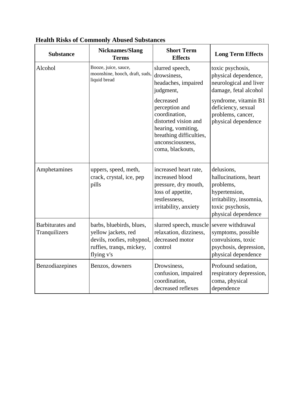| <b>Substance</b>                         | <b>Nicknames/Slang</b><br><b>Terms</b>                                                                                  | <b>Short Term</b><br><b>Effects</b>                                                                                                                           | <b>Long Term Effects</b>                                                                                                                |
|------------------------------------------|-------------------------------------------------------------------------------------------------------------------------|---------------------------------------------------------------------------------------------------------------------------------------------------------------|-----------------------------------------------------------------------------------------------------------------------------------------|
| Alcohol                                  | Booze, juice, sauce,<br>moonshine, hooch, draft, suds,<br>liquid bread                                                  | slurred speech,<br>drowsiness,<br>headaches, impaired<br>judgment,                                                                                            | toxic psychosis,<br>physical dependence,<br>neurological and liver<br>damage, fetal alcohol                                             |
|                                          |                                                                                                                         | decreased<br>perception and<br>coordination,<br>distorted vision and<br>hearing, vomiting,<br>breathing difficulties,<br>unconsciousness,<br>coma, blackouts, | syndrome, vitamin B1<br>deficiency, sexual<br>problems, cancer,<br>physical dependence                                                  |
| Amphetamines                             | uppers, speed, meth,<br>crack, crystal, ice, pep<br>pills                                                               | increased heart rate,<br>increased blood<br>pressure, dry mouth,<br>loss of appetite,<br>restlessness,<br>irritability, anxiety                               | delusions,<br>hallucinations, heart<br>problems,<br>hypertension,<br>irritability, insomnia,<br>toxic psychosis,<br>physical dependence |
| <b>Barbiturates</b> and<br>Tranquilizers | barbs, bluebirds, blues,<br>yellow jackets, red<br>devils, roofies, rohypnol,<br>ruffies, tranqs, mickey,<br>flying v's | slurred speech, muscle<br>relaxation, dizziness,<br>decreased motor<br>control                                                                                | severe withdrawal<br>symptoms, possible<br>convulsions, toxic<br>psychosis, depression,<br>physical dependence                          |
| Benzodiazepines                          | Benzos, downers                                                                                                         | Drowsiness,<br>confusion, impaired<br>coordination,<br>decreased reflexes                                                                                     | Profound sedation,<br>respiratory depression,<br>coma, physical<br>dependence                                                           |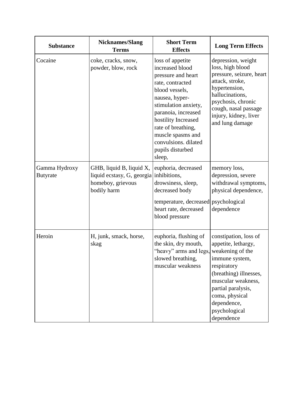| <b>Substance</b>                 | <b>Nicknames/Slang</b><br><b>Terms</b>                                                                  | <b>Short Term</b><br><b>Effects</b>                                                                                                                                                                                                                                                      | <b>Long Term Effects</b>                                                                                                                                                                                                                |
|----------------------------------|---------------------------------------------------------------------------------------------------------|------------------------------------------------------------------------------------------------------------------------------------------------------------------------------------------------------------------------------------------------------------------------------------------|-----------------------------------------------------------------------------------------------------------------------------------------------------------------------------------------------------------------------------------------|
| Cocaine                          | coke, cracks, snow,<br>powder, blow, rock                                                               | loss of appetite<br>increased blood<br>pressure and heart<br>rate, contracted<br>blood vessels,<br>nausea, hyper-<br>stimulation anxiety,<br>paranoia, increased<br>hostility Increased<br>rate of breathing,<br>muscle spasms and<br>convulsions. dilated<br>pupils disturbed<br>sleep, | depression, weight<br>loss, high blood<br>pressure, seizure, heart<br>attack, stroke,<br>hypertension,<br>hallucinations,<br>psychosis, chronic<br>cough, nasal passage<br>injury, kidney, liver<br>and lung damage                     |
| Gamma Hydroxy<br><b>Butyrate</b> | GHB, liquid B, liquid X,<br>liquid ecstasy, G, georgia inhibitions,<br>homeboy, grievous<br>bodily harm | euphoria, decreased<br>drowsiness, sleep,<br>decreased body<br>temperature, decreased<br>heart rate, decreased<br>blood pressure                                                                                                                                                         | memory loss,<br>depression, severe<br>withdrawal symptoms,<br>physical dependence,<br>psychological<br>dependence                                                                                                                       |
| Heroin                           | H, junk, smack, horse,<br>skag                                                                          | euphoria, flushing of<br>the skin, dry mouth,<br>"heavy" arms and legs,<br>slowed breathing,<br>muscular weakness                                                                                                                                                                        | constipation, loss of<br>appetite, lethargy,<br>weakening of the<br>immune system,<br>respiratory<br>(breathing) illnesses,<br>muscular weakness,<br>partial paralysis,<br>coma, physical<br>dependence,<br>psychological<br>dependence |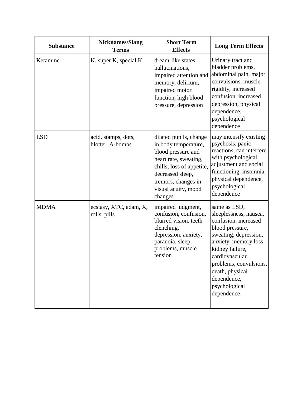| <b>Substance</b> | <b>Nicknames/Slang</b><br><b>Terms</b>  | <b>Short Term</b><br><b>Effects</b>                                                                                                                                                                     | <b>Long Term Effects</b>                                                                                                                                                                                                                                           |
|------------------|-----------------------------------------|---------------------------------------------------------------------------------------------------------------------------------------------------------------------------------------------------------|--------------------------------------------------------------------------------------------------------------------------------------------------------------------------------------------------------------------------------------------------------------------|
| Ketamine         | K, super K, special K                   | dream-like states,<br>hallucinations,<br>impaired attention and<br>memory, delirium,<br>impaired motor<br>function, high blood<br>pressure, depression                                                  | Urinary tract and<br>bladder problems,<br>abdominal pain, major<br>convulsions, muscle<br>rigidity, increased<br>confusion, increased<br>depression, physical<br>dependence,<br>psychological<br>dependence                                                        |
| <b>LSD</b>       | acid, stamps, dots,<br>blotter, A-bombs | dilated pupils, change<br>in body temperature,<br>blood pressure and<br>heart rate, sweating,<br>chills, loss of appetite,<br>decreased sleep,<br>tremors, changes in<br>visual acuity, mood<br>changes | may intensify existing<br>psychosis, panic<br>reactions, can interfere<br>with psychological<br>adjustment and social<br>functioning, insomnia,<br>physical dependence,<br>psychological<br>dependence                                                             |
| <b>MDMA</b>      | ecstasy, XTC, adam, X,<br>rolls, pills  | impaired judgment,<br>confusion, confusion,<br>blurred vision, teeth<br>clenching,<br>depression, anxiety,<br>paranoia, sleep<br>problems, muscle<br>tension                                            | same as LSD,<br>sleeplessness, nausea,<br>confusion, increased<br>blood pressure,<br>sweating, depression,<br>anxiety, memory loss<br>kidney failure,<br>cardiovascular<br>problems, convulsions,<br>death, physical<br>dependence,<br>psychological<br>dependence |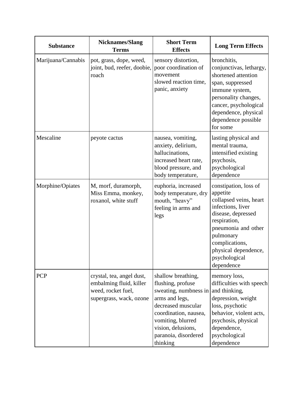| <b>Substance</b>   | <b>Nicknames/Slang</b><br><b>Terms</b>                                                                | <b>Short Term</b><br><b>Effects</b>                                                                                                                                                                              | <b>Long Term Effects</b>                                                                                                                                                                                                            |
|--------------------|-------------------------------------------------------------------------------------------------------|------------------------------------------------------------------------------------------------------------------------------------------------------------------------------------------------------------------|-------------------------------------------------------------------------------------------------------------------------------------------------------------------------------------------------------------------------------------|
| Marijuana/Cannabis | pot, grass, dope, weed,<br>joint, bud, reefer, doobie,<br>roach                                       | sensory distortion,<br>poor coordination of<br>movement<br>slowed reaction time,<br>panic, anxiety                                                                                                               | bronchitis,<br>conjunctivas, lethargy,<br>shortened attention<br>span, suppressed<br>immune system,<br>personality changes,<br>cancer, psychological<br>dependence, physical<br>dependence possible<br>for some                     |
| Mescaline          | peyote cactus                                                                                         | nausea, vomiting,<br>anxiety, delirium,<br>hallucinations,<br>increased heart rate,<br>blood pressure, and<br>body temperature,                                                                                  | lasting physical and<br>mental trauma,<br>intensified existing<br>psychosis,<br>psychological<br>dependence                                                                                                                         |
| Morphine/Opiates   | M, morf, duramorph,<br>Miss Emma, monkey,<br>roxanol, white stuff                                     | euphoria, increased<br>body temperature, dry<br>mouth, "heavy"<br>feeling in arms and<br>legs                                                                                                                    | constipation, loss of<br>appetite<br>collapsed veins, heart<br>infections, liver<br>disease, depressed<br>respiration,<br>pneumonia and other<br>pulmonary<br>complications,<br>physical dependence,<br>psychological<br>dependence |
| PCP                | crystal, tea, angel dust,<br>embalming fluid, killer<br>weed, rocket fuel,<br>supergrass, wack, ozone | shallow breathing,<br>flushing, profuse<br>sweating, numbness in<br>arms and legs,<br>decreased muscular<br>coordination, nausea,<br>vomiting, blurred<br>vision, delusions,<br>paranoia, disordered<br>thinking | memory loss,<br>difficulties with speech<br>and thinking,<br>depression, weight<br>loss, psychotic<br>behavior, violent acts,<br>psychosis, physical<br>dependence,<br>psychological<br>dependence                                  |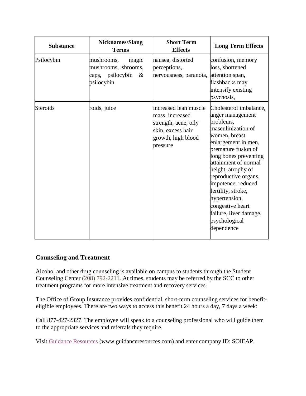| <b>Substance</b> | <b>Nicknames/Slang</b><br><b>Terms</b>                                                  | <b>Short Term</b><br><b>Effects</b>                                                                                     | <b>Long Term Effects</b>                                                                                                                                                                                                                                                                                                                                                              |
|------------------|-----------------------------------------------------------------------------------------|-------------------------------------------------------------------------------------------------------------------------|---------------------------------------------------------------------------------------------------------------------------------------------------------------------------------------------------------------------------------------------------------------------------------------------------------------------------------------------------------------------------------------|
| Psilocybin       | mushrooms,<br>magic<br>mushrooms, shrooms,<br>psilocybin<br>$\&$<br>caps,<br>psilocybin | nausea, distorted<br>perceptions,<br>nervousness, paranoia, attention span,                                             | confusion, memory<br>loss, shortened<br>flashbacks may<br>intensify existing<br>psychosis,                                                                                                                                                                                                                                                                                            |
| <b>Steroids</b>  | roids, juice                                                                            | increased lean muscle<br>mass, increased<br>strength, acne, oily<br>skin, excess hair<br>growth, high blood<br>pressure | Cholesterol imbalance,<br>anger management<br>problems,<br>masculinization of<br>women, breast<br>enlargement in men,<br>premature fusion of<br>long bones preventing<br>attainment of normal<br>height, atrophy of<br>reproductive organs,<br>impotence, reduced<br>fertility, stroke,<br>hypertension,<br>congestive heart<br>failure, liver damage,<br>psychological<br>dependence |

#### **Counseling and Treatment**

Alcohol and other drug counseling is available on campus to students through the Student Counseling Center (208) 792-2211. At times, students may be referred by the SCC to other treatment programs for more intensive treatment and recovery services.

The Office of Group Insurance provides confidential, short-term counseling services for benefiteligible employees. There are two ways to access this benefit 24 hours a day, 7 days a week:

Call 877-427-2327. The employee will speak to a counseling professional who will guide them to the appropriate services and referrals they require.

Visit Guidance [Resources](http://www.guidanceresources.com/) (www.guidanceresources.com) and enter company ID: SOIEAP.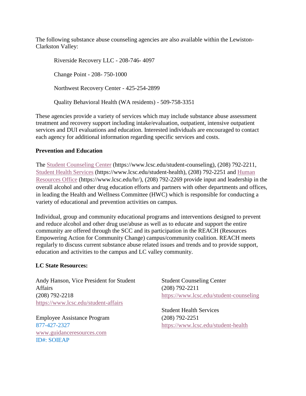The following substance abuse counseling agencies are also available within the Lewiston-Clarkston Valley:

Riverside Recovery LLC - 208-746- 4097 Change Point - 208- 750-1000 Northwest Recovery Center - 425-254-2899 Quality Behavioral Health (WA residents) - 509-758-3351

These agencies provide a variety of services which may include substance abuse assessment treatment and recovery support including intake/evaluation, outpatient, intensive outpatient services and DUI evaluations and education. Interested individuals are encouraged to contact each agency for additional information regarding specific services and costs.

#### **Prevention and Education**

The [Student Counseling Center](https://www.lcsc.edu/student-counseling/) (https://www.lcsc.edu/student-counseling), (208) 792-2211, [Student Health Services](https://www.lcsc.edu/student-health) (https://www.lcsc.edu/student-health), (208) 792-2251 and [Human](https://www.lcsc.edu/hr/)  [Resources](https://www.lcsc.edu/hr/) Office (https://www.lcsc.edu/hr/), (208) 792-2269 provide input and leadership in the overall alcohol and other drug education efforts and partners with other departments and offices, in leading the Health and Wellness Committee (HWC) which is responsible for conducting a variety of educational and prevention activities on campus.

Individual, group and community educational programs and interventions designed to prevent and reduce alcohol and other drug use/abuse as well as to educate and support the entire community are offered through the SCC and its participation in the REACH (Resources Empowering Action for Community Change) campus/community coalition. REACH meets regularly to discuss current substance abuse related issues and trends and to provide support, education and activities to the campus and LC valley community.

#### **LC State Resources:**

Andy Hanson, Vice President for Student **Affairs** (208) 792-2218 <https://www.lcsc.edu/student-affairs>

Employee Assistance Program 877-427-2327 [www.guidanceresources.com](http://www.guidanceresources.com/) ID#: SOIEAP

Student Counseling Center (208) 792-2211 <https://www.lcsc.edu/student-counseling>

Student Health Services (208) 792-2251 <https://www.lcsc.edu/student-health>